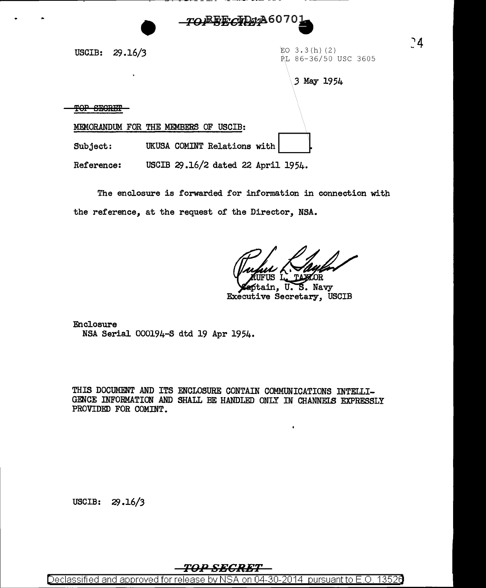

USCIB:  $29.16/3$  EO 3.3 (h) (2)

PL 86-36/50 USC 3605

 $24$ 

3 May 1954

TOP SEGRET

MEMORANDUM FOR THE MEMBERS OF USCIB:

Subject: UKUSA COMINT Relations with

Reference: USCIB  $29.16/2$  dated 22 April 1954.

The enclosure is forwarded for information in connection with the reference, at the request of the Director, NSA.

Rayler

ain, U. S. Navy Executive Secretary, USCIB

Enclosure NSA Serial 000194-S dtd 19 Apr 1954.

THIS DOCUMENT AND ITS ENCLOSURE CONTAIN COMMUNICATIONS INTELLI-GENCE INFORMATION AND SHALL BE HANDLED ONLY IN CHANNELS EXPRESSLY PROVIDED FOR COMINT.

USCIB:  $29.16/3$ 

*TO:P SECRET* 

Declassified and approved for release by NSA on 04-30-2014 pursuantto E.O. 1352a